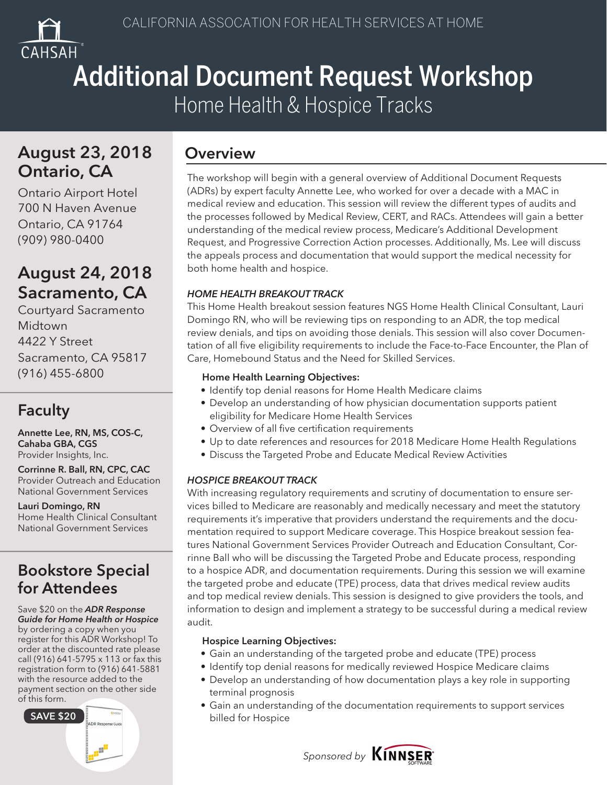

# Additional Document Request Workshop Home Health & Hospice Tracks

## August 23, 2018 Overview Ontario, CA

Ontario Airport Hotel 700 N Haven Avenue Ontario, CA 91764 (909) 980-0400

## August 24, 2018 Sacramento, CA

Courtyard Sacramento **Midtown** 4422 Y Street Sacramento, CA 95817 (916) 455-6800

## Faculty

Annette Lee, RN, MS, COS-C, Cahaba GBA, CGS Provider Insights, Inc.

Corrinne R. Ball, RN, CPC, CAC Provider Outreach and Education National Government Services

Lauri Domingo, RN Home Health Clinical Consultant National Government Services

## Bookstore Special for Attendees

### Save \$20 on the *ADR Response Guide for Home Health or Hospice* by ordering a copy when you register for this ADR Workshop! To order at the discounted rate please call (916) 641-5795 x 113 or fax this registration form to (916) 641-5881 with the resource added to the payment section on the other side of this form.



The workshop will begin with a general overview of Additional Document Requests (ADRs) by expert faculty Annette Lee, who worked for over a decade with a MAC in medical review and education. This session will review the different types of audits and the processes followed by Medical Review, CERT, and RACs. Attendees will gain a better understanding of the medical review process, Medicare's Additional Development Request, and Progressive Correction Action processes. Additionally, Ms. Lee will discuss the appeals process and documentation that would support the medical necessity for both home health and hospice.

## *HOME HEALTH BREAKOUT TRACK*

This Home Health breakout session features NGS Home Health Clinical Consultant, Lauri Domingo RN, who will be reviewing tips on responding to an ADR, the top medical review denials, and tips on avoiding those denials. This session will also cover Documentation of all five eligibility requirements to include the Face-to-Face Encounter, the Plan of Care, Homebound Status and the Need for Skilled Services.

### Home Health Learning Objectives:

- Identify top denial reasons for Home Health Medicare claims
- Develop an understanding of how physician documentation supports patient eligibility for Medicare Home Health Services
- Overview of all five certification requirements
- Up to date references and resources for 2018 Medicare Home Health Regulations
- Discuss the Targeted Probe and Educate Medical Review Activities

### *HOSPICE BREAKOUT TRACK*

With increasing regulatory requirements and scrutiny of documentation to ensure services billed to Medicare are reasonably and medically necessary and meet the statutory requirements it's imperative that providers understand the requirements and the documentation required to support Medicare coverage. This Hospice breakout session features National Government Services Provider Outreach and Education Consultant, Corrinne Ball who will be discussing the Targeted Probe and Educate process, responding to a hospice ADR, and documentation requirements. During this session we will examine the targeted probe and educate (TPE) process, data that drives medical review audits and top medical review denials. This session is designed to give providers the tools, and information to design and implement a strategy to be successful during a medical review audit.

### Hospice Learning Objectives:

- Gain an understanding of the targeted probe and educate (TPE) process
- Identify top denial reasons for medically reviewed Hospice Medicare claims
- Develop an understanding of how documentation plays a key role in supporting terminal prognosis
- Gain an understanding of the documentation requirements to support services billed for Hospice